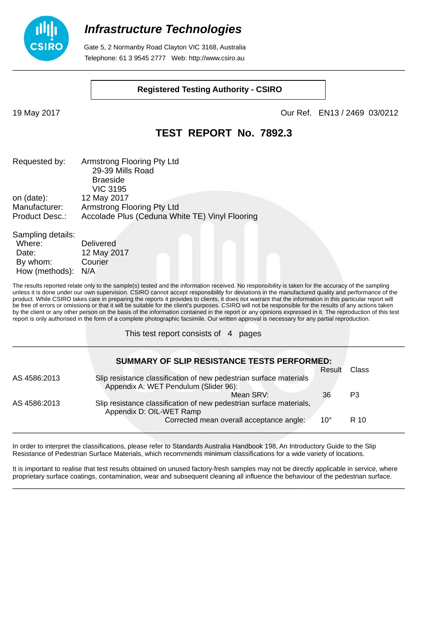

 Gate 5, 2 Normanby Road Clayton VIC 3168, Australia Telephone: 61 3 9545 2777 Web: http://www.csiro.au

#### **Registered Testing Authority - CSIRO**

19 May 2017 Our Ref. EN13 / 2469 03/0212

### **TEST REPORT No. 7892.3**

| Requested by:  | Armstrong Flooring Pty Ltd                     |
|----------------|------------------------------------------------|
|                | 29-39 Mills Road                               |
|                | <b>Braeside</b>                                |
|                | <b>VIC 3195</b>                                |
| on (date):     | 12 May 2017                                    |
| Manufacturer:  | Armstrong Flooring Pty Ltd                     |
| Product Desc.: | Accolade Plus (Ceduna White TE) Vinyl Flooring |
|                |                                                |

| Sampling details: |                  |
|-------------------|------------------|
| Where:            | <b>Delivered</b> |
| Date:             | 12 May 2017      |
| By whom:          | Courier          |
| How (methods):    | N/A              |

The results reported relate only to the sample(s) tested and the information received. No responsibility is taken for the accuracy of the sampling unless it is done under our own supervision. CSIRO cannot accept responsibility for deviations in the manufactured quality and performance of the product. While CSIRO takes care in preparing the reports it provides to clients, it does not warrant that the information in this particular report will be free of errors or omissions or that it will be suitable for the client's purposes. CSIRO will not be responsible for the results of any actions taken by the client or any other person on the basis of the information contained in the report or any opinions expressed in it. The reproduction of this test report is only authorised in the form of a complete photographic facsimile. Our written approval is necessary for any partial reproduction.

\_\_\_\_\_\_\_\_\_\_\_\_\_\_\_\_\_\_\_\_\_\_\_\_\_\_\_\_\_\_\_\_\_\_\_\_\_\_\_\_\_\_\_\_\_\_\_\_\_\_\_\_\_\_\_\_\_\_\_\_\_\_\_\_\_\_\_\_\_\_\_\_\_\_\_\_\_\_\_\_\_\_\_\_\_\_

This test report consists of 4 pages

|              | SUMMARY OF SLIP RESISTANCE TESTS PERFORMED:                                                                 |              |       |
|--------------|-------------------------------------------------------------------------------------------------------------|--------------|-------|
|              |                                                                                                             | Result       | Class |
| AS 4586:2013 | Slip resistance classification of new pedestrian surface materials<br>Appendix A: WET Pendulum (Slider 96): |              |       |
|              | Mean SRV:                                                                                                   | 36           | P3    |
| AS 4586:2013 | Slip resistance classification of new pedestrian surface materials,<br>Appendix D: OIL-WET Ramp             |              |       |
|              | Corrected mean overall acceptance angle:                                                                    | $10^{\circ}$ | R 10  |

In order to interpret the classifications, please refer to Standards Australia Handbook 198, An Introductory Guide to the Slip Resistance of Pedestrian Surface Materials, which recommends minimum classifications for a wide variety of locations.

It is important to realise that test results obtained on unused factory-fresh samples may not be directly applicable in service, where proprietary surface coatings, contamination, wear and subsequent cleaning all influence the behaviour of the pedestrian surface. \_\_\_\_\_\_\_\_\_\_\_\_\_\_\_\_\_\_\_\_\_\_\_\_\_\_\_\_\_\_\_\_\_\_\_\_\_\_\_\_\_\_\_\_\_\_\_\_\_\_\_\_\_\_\_\_\_\_\_\_\_\_\_\_\_\_\_\_\_\_\_\_\_\_\_\_\_\_\_\_\_\_\_\_\_\_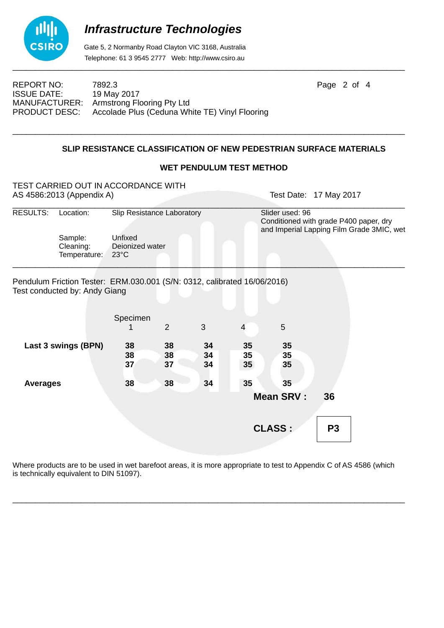

 Gate 5, 2 Normanby Road Clayton VIC 3168, Australia Telephone: 61 3 9545 2777 Web: http://www.csiro.au

REPORT NO: 7892.3 **Page 2 of 4** ISSUE DATE: 19 May 2017 MANUFACTURER: Armstrong Flooring Pty Ltd PRODUCT DESC: Accolade Plus (Ceduna White TE) Vinyl Flooring

### **SLIP RESISTANCE CLASSIFICATION OF NEW PEDESTRIAN SURFACE MATERIALS**

\_\_\_\_\_\_\_\_\_\_\_\_\_\_\_\_\_\_\_\_\_\_\_\_\_\_\_\_\_\_\_\_\_\_\_\_\_\_\_\_\_\_\_\_\_\_\_\_\_\_\_\_\_\_\_\_\_\_\_\_\_\_\_\_\_\_\_\_\_\_\_\_\_\_\_\_\_\_\_\_\_\_\_\_\_\_

#### **WET PENDULUM TEST METHOD**

|                     | TEST CARRIED OUT IN ACCORDANCE WITH<br>AS 4586:2013 (Appendix A)                                          |                                              |    |    |                 |                                                                                                        | Test Date: 17 May 2017 |  |
|---------------------|-----------------------------------------------------------------------------------------------------------|----------------------------------------------|----|----|-----------------|--------------------------------------------------------------------------------------------------------|------------------------|--|
| RESULTS:            | Location:                                                                                                 | Slip Resistance Laboratory                   |    |    |                 | Slider used: 96<br>Conditioned with grade P400 paper, dry<br>and Imperial Lapping Film Grade 3MIC, wet |                        |  |
|                     | Sample:<br>Cleaning:<br>Temperature:                                                                      | Unfixed<br>Deionized water<br>$23^{\circ}$ C |    |    |                 |                                                                                                        |                        |  |
|                     | Pendulum Friction Tester: ERM.030.001 (S/N: 0312, calibrated 16/06/2016)<br>Test conducted by: Andy Giang |                                              |    |    |                 |                                                                                                        |                        |  |
|                     |                                                                                                           | Specimen                                     |    |    |                 |                                                                                                        |                        |  |
|                     |                                                                                                           |                                              | 2  | 3  | 4               | 5                                                                                                      |                        |  |
| Last 3 swings (BPN) |                                                                                                           | 38                                           | 38 | 34 | 35              | 35                                                                                                     |                        |  |
|                     |                                                                                                           | 38                                           | 38 | 34 | 35              | 35                                                                                                     |                        |  |
|                     |                                                                                                           | 37                                           | 37 | 34 | 35 <sup>5</sup> | 35                                                                                                     |                        |  |
| <b>Averages</b>     |                                                                                                           | 38                                           | 38 | 34 | 35              | 35                                                                                                     |                        |  |
|                     |                                                                                                           |                                              |    |    |                 | <b>Mean SRV:</b>                                                                                       | 36                     |  |
|                     |                                                                                                           |                                              |    |    |                 | <b>CLASS:</b>                                                                                          | P <sub>3</sub>         |  |
|                     |                                                                                                           |                                              |    |    |                 |                                                                                                        |                        |  |

Where products are to be used in wet barefoot areas, it is more appropriate to test to Appendix C of AS 4586 (which is technically equivalent to DIN 51097).

\_\_\_\_\_\_\_\_\_\_\_\_\_\_\_\_\_\_\_\_\_\_\_\_\_\_\_\_\_\_\_\_\_\_\_\_\_\_\_\_\_\_\_\_\_\_\_\_\_\_\_\_\_\_\_\_\_\_\_\_\_\_\_\_\_\_\_\_\_\_\_\_\_\_\_\_\_\_\_\_\_\_\_\_\_\_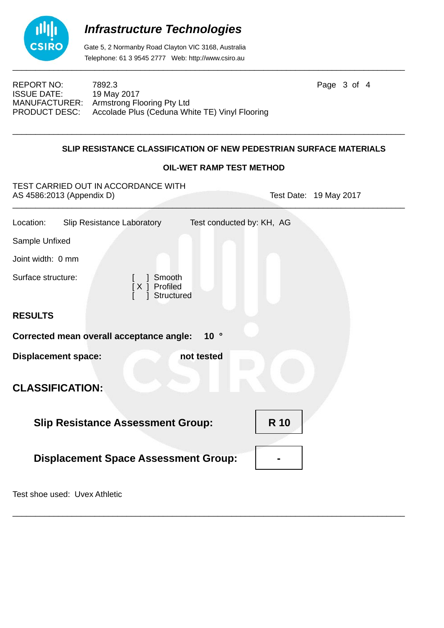

 Gate 5, 2 Normanby Road Clayton VIC 3168, Australia Telephone: 61 3 9545 2777 Web: http://www.csiro.au

REPORT NO: 7892.3 **Page 3 of 4** ISSUE DATE: 19 May 2017 MANUFACTURER: Armstrong Flooring Pty Ltd<br>PRODUCT DESC: Accolade Plus (Ceduna Wr Accolade Plus (Ceduna White TE) Vinyl Flooring

### **SLIP RESISTANCE CLASSIFICATION OF NEW PEDESTRIAN SURFACE MATERIALS**

\_\_\_\_\_\_\_\_\_\_\_\_\_\_\_\_\_\_\_\_\_\_\_\_\_\_\_\_\_\_\_\_\_\_\_\_\_\_\_\_\_\_\_\_\_\_\_\_\_\_\_\_\_\_\_\_\_\_\_\_\_\_\_\_\_\_\_\_\_\_\_\_\_\_\_\_\_\_\_\_\_\_\_\_\_\_

#### **OIL-WET RAMP TEST METHOD**

TEST CARRIED OUT IN ACCORDANCE WITH AS 4586:2013 (Appendix D) Test Date: 19 May 2017

| Location:                                               | Slip Resistance Laboratory                  |                                         | Test conducted by: KH, AG |  |  |  |
|---------------------------------------------------------|---------------------------------------------|-----------------------------------------|---------------------------|--|--|--|
| Sample Unfixed                                          |                                             |                                         |                           |  |  |  |
| Joint width: 0 mm                                       |                                             |                                         |                           |  |  |  |
| Surface structure:                                      |                                             | Smooth<br>Profiled<br>[X]<br>Structured |                           |  |  |  |
| <b>RESULTS</b>                                          |                                             |                                         |                           |  |  |  |
|                                                         | Corrected mean overall acceptance angle:    |                                         | 10 <sup>°</sup>           |  |  |  |
| <b>Displacement space:</b>                              |                                             |                                         | not tested                |  |  |  |
|                                                         | <b>CLASSIFICATION:</b>                      |                                         |                           |  |  |  |
| <b>R</b> 10<br><b>Slip Resistance Assessment Group:</b> |                                             |                                         |                           |  |  |  |
|                                                         | <b>Displacement Space Assessment Group:</b> |                                         |                           |  |  |  |
|                                                         |                                             |                                         |                           |  |  |  |

\_\_\_\_\_\_\_\_\_\_\_\_\_\_\_\_\_\_\_\_\_\_\_\_\_\_\_\_\_\_\_\_\_\_\_\_\_\_\_\_\_\_\_\_\_\_\_\_\_\_\_\_\_\_\_\_\_\_\_\_\_\_\_\_\_\_\_\_\_\_\_\_\_\_\_\_\_\_\_\_\_\_\_\_\_\_

Test shoe used: Uvex Athletic